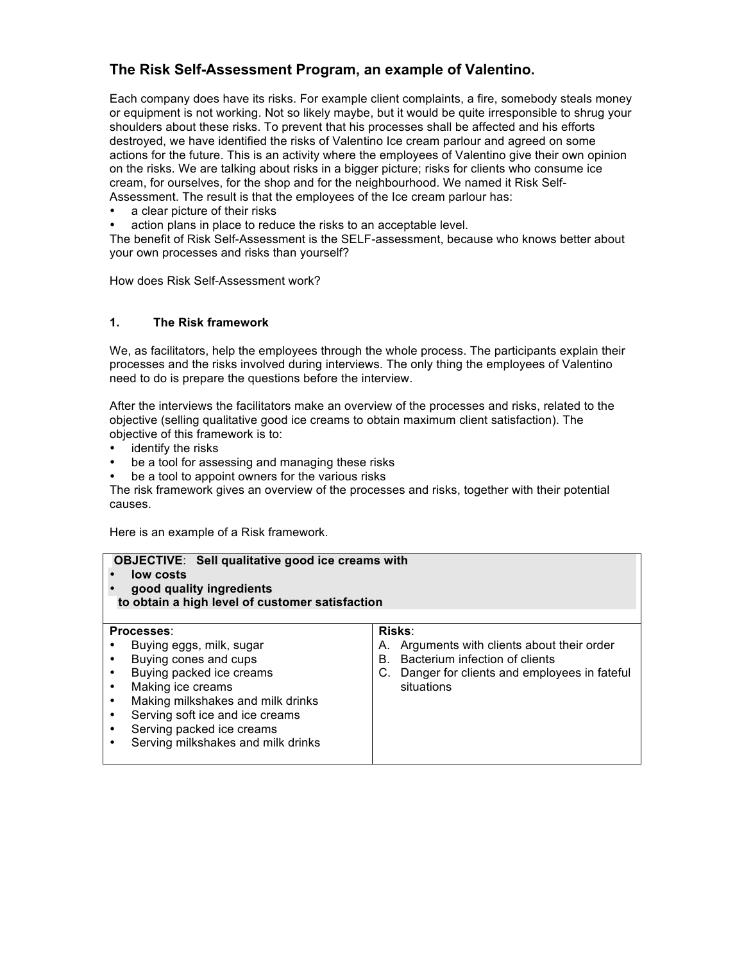# **The Risk Self-Assessment Program, an example of Valentino.**

Each company does have its risks. For example client complaints, a fire, somebody steals money or equipment is not working. Not so likely maybe, but it would be quite irresponsible to shrug your shoulders about these risks. To prevent that his processes shall be affected and his efforts destroyed, we have identified the risks of Valentino Ice cream parlour and agreed on some actions for the future. This is an activity where the employees of Valentino give their own opinion on the risks. We are talking about risks in a bigger picture; risks for clients who consume ice cream, for ourselves, for the shop and for the neighbourhood. We named it Risk Self-Assessment. The result is that the employees of the Ice cream parlour has:

- a clear picture of their risks
- action plans in place to reduce the risks to an acceptable level.

The benefit of Risk Self-Assessment is the SELF-assessment, because who knows better about your own processes and risks than yourself?

How does Risk Self-Assessment work?

#### **1. The Risk framework**

We, as facilitators, help the employees through the whole process. The participants explain their processes and the risks involved during interviews. The only thing the employees of Valentino need to do is prepare the questions before the interview.

After the interviews the facilitators make an overview of the processes and risks, related to the objective (selling qualitative good ice creams to obtain maximum client satisfaction). The objective of this framework is to:

- identify the risks
- be a tool for assessing and managing these risks<br>• be a tool to appoint owners for the various risks
- be a tool to appoint owners for the various risks

The risk framework gives an overview of the processes and risks, together with their potential causes.

Here is an example of a Risk framework.

| <b>OBJECTIVE:</b> Sell qualitative good ice creams with<br>low costs<br>good quality ingredients<br>to obtain a high level of customer satisfaction |                                                                                                                                                                                                                                                             |          |                                                                                                                                                             |  |  |  |  |  |
|-----------------------------------------------------------------------------------------------------------------------------------------------------|-------------------------------------------------------------------------------------------------------------------------------------------------------------------------------------------------------------------------------------------------------------|----------|-------------------------------------------------------------------------------------------------------------------------------------------------------------|--|--|--|--|--|
|                                                                                                                                                     | Processes:<br>Buying eggs, milk, sugar<br>Buying cones and cups<br>Buying packed ice creams<br>Making ice creams<br>Making milkshakes and milk drinks<br>Serving soft ice and ice creams<br>Serving packed ice creams<br>Serving milkshakes and milk drinks | А.<br>B. | <b>Risks:</b><br>Arguments with clients about their order<br>Bacterium infection of clients<br>C. Danger for clients and employees in fateful<br>situations |  |  |  |  |  |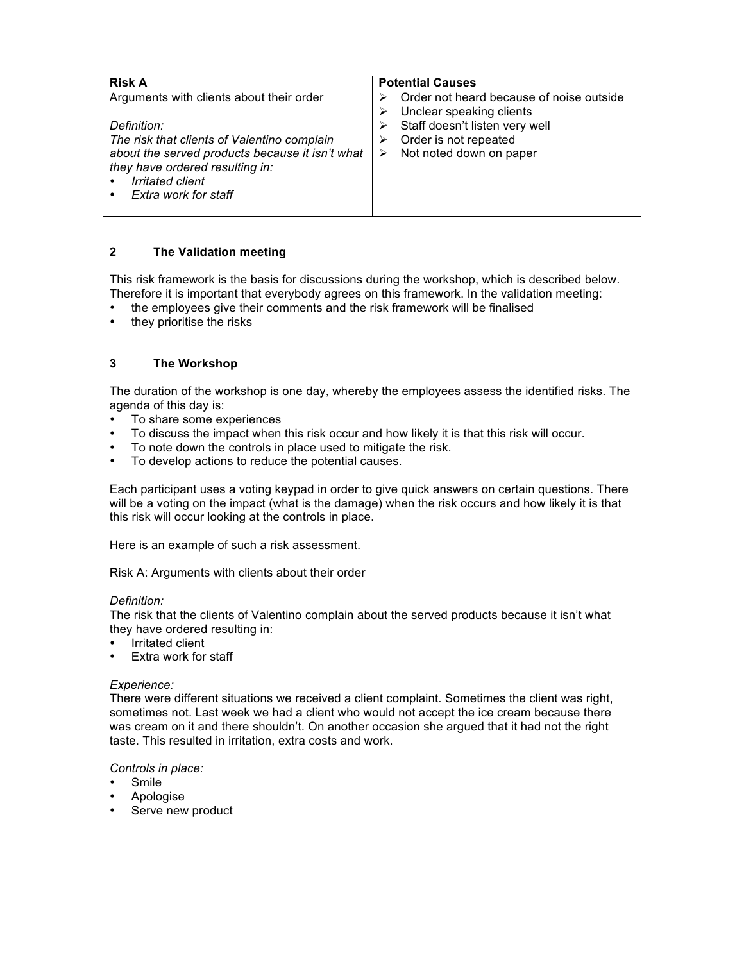| <b>Risk A</b>                                                                                                                                                                                | <b>Potential Causes</b>                                                                      |  |  |
|----------------------------------------------------------------------------------------------------------------------------------------------------------------------------------------------|----------------------------------------------------------------------------------------------|--|--|
| Arguments with clients about their order                                                                                                                                                     | Order not heard because of noise outside<br>Unclear speaking clients                         |  |  |
| Definition:<br>The risk that clients of Valentino complain<br>about the served products because it isn't what<br>they have ordered resulting in:<br>Irritated client<br>Extra work for staff | Staff doesn't listen very well<br>Order is not repeated<br>⋗<br>Not noted down on paper<br>⋗ |  |  |

### **2 The Validation meeting**

This risk framework is the basis for discussions during the workshop, which is described below. Therefore it is important that everybody agrees on this framework. In the validation meeting:

- the employees give their comments and the risk framework will be finalised
- they prioritise the risks

### **3 The Workshop**

The duration of the workshop is one day, whereby the employees assess the identified risks. The agenda of this day is:

- To share some experiences
- To discuss the impact when this risk occur and how likely it is that this risk will occur.
- To note down the controls in place used to mitigate the risk.
- To develop actions to reduce the potential causes.

Each participant uses a voting keypad in order to give quick answers on certain questions. There will be a voting on the impact (what is the damage) when the risk occurs and how likely it is that this risk will occur looking at the controls in place.

Here is an example of such a risk assessment.

Risk A: Arguments with clients about their order

#### *Definition:*

The risk that the clients of Valentino complain about the served products because it isn't what they have ordered resulting in:

- **Irritated client**
- Extra work for staff

#### *Experience:*

There were different situations we received a client complaint. Sometimes the client was right, sometimes not. Last week we had a client who would not accept the ice cream because there was cream on it and there shouldn't. On another occasion she argued that it had not the right taste. This resulted in irritation, extra costs and work.

*Controls in place:*

- **Smile**
- Apologise
- Serve new product